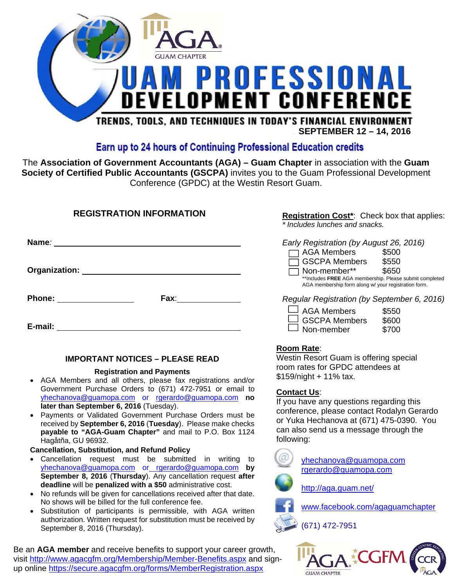

**SEPTEMBER 12 – 14, 2016** 

### Earn up to 24 hours of Continuing Professional Education credits

The **Association of Government Accountants (AGA) – Guam Chapter** in association with the **Guam Society of Certified Public Accountants (GSCPA)** invites you to the Guam Professional Development Conference (GPDC) at the Westin Resort Guam.

### **REGISTRATION INFORMATION**

**Registration Cost\***: Check box that applies: *\* Includes lunches and snacks.* 

| Name <i>:</i>                                                                                                                                                                                                                                                  | Early Registration (by August 26, 2016)                                                                         |
|----------------------------------------------------------------------------------------------------------------------------------------------------------------------------------------------------------------------------------------------------------------|-----------------------------------------------------------------------------------------------------------------|
|                                                                                                                                                                                                                                                                | □ AGA Members<br>\$500                                                                                          |
| <b>Organization:</b> The Company of the Company of the Company of the Company of the Company of the Company of the Company of the Company of the Company of the Company of the Company of the Company of the Company of the Company                            | □ GSCPA Members<br>\$550<br>Non-member**<br>\$650                                                               |
|                                                                                                                                                                                                                                                                | **Includes FREE AGA membership. Please submit completed<br>AGA membership form along w/ your registration form. |
| Fax: where the control of the control of the control of the control of the control of the control of the control of the control of the control of the control of the control of the control of the control of the control of t<br>Phone: <u>______________</u> | Regular Registration (by September 6, 2016)                                                                     |
|                                                                                                                                                                                                                                                                | $\Box$ AGA Members<br>\$550                                                                                     |
| E-mail:                                                                                                                                                                                                                                                        | $\Box$ GSCPA Members<br>\$600<br>Non-member<br>\$700                                                            |

#### **IMPORTANT NOTICES – PLEASE READ**

#### **Registration and Payments**

- AGA Members and all others, please fax registrations and/or Government Purchase Orders to (671) 472-7951 or email to yhechanova@guamopa.com or rgerardo@guamopa.com **no later than September 6, 2016** (Tuesday).
- Payments or Validated Government Purchase Orders must be received by **September 6, 2016** (**Tuesday**). Please make checks **payable to "AGA-Guam Chapter"** and mail to P.O. Box 1124 Hagåtña, GU 96932.

#### **Cancellation, Substitution, and Refund Policy**

- Cancellation request must be submitted in writing to yhechanova@guamopa.com or rgerardo@guamopa.com **by September 8, 2016** (**Thursday**). Any cancellation request **after deadline** will be **penalized with a \$50** administrative cost.
- No refunds will be given for cancellations received after that date. No shows will be billed for the full conference fee.
- Substitution of participants is permissible, with AGA written authorization. Written request for substitution must be received by September 8, 2016 (Thursday).

Be an **AGA member** and receive benefits to support your career growth, visit http://www.agacgfm.org/Membership/Member-Benefits.aspx and signup online https://secure.agacgfm.org/forms/MemberRegistration.aspx

**Room Rate**:

Westin Resort Guam is offering special room rates for GPDC attendees at \$159/night + 11% tax.

#### **Contact Us**:

If you have any questions regarding this conference, please contact Rodalyn Gerardo or Yuka Hechanova at (671) 475-0390. You can also send us a message through the following:

> yhechanova@guamopa.com rgerardo@guamopa.com



http://aga.guam.net/

www.facebook.com/agaguamchapter

(671) 472-7951